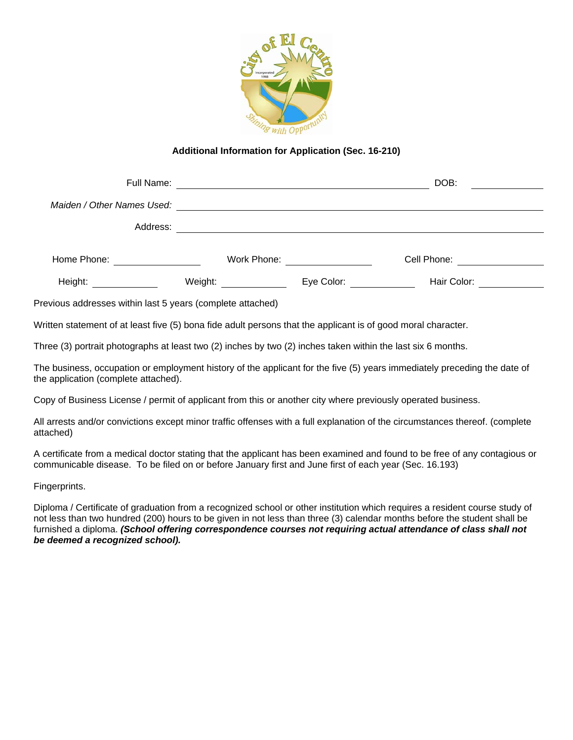

## **Additional Information for Application (Sec. 16-210)**

| Full Name:                 |             |            | DOB:        |
|----------------------------|-------------|------------|-------------|
| Maiden / Other Names Used: |             |            |             |
| Address:                   |             |            |             |
|                            |             |            |             |
| Home Phone:                | Work Phone: |            | Cell Phone: |
| Height:                    | Weight:     | Eye Color: | Hair Color: |

Previous addresses within last 5 years (complete attached)

Written statement of at least five (5) bona fide adult persons that the applicant is of good moral character.

Three (3) portrait photographs at least two (2) inches by two (2) inches taken within the last six 6 months.

The business, occupation or employment history of the applicant for the five (5) years immediately preceding the date of the application (complete attached).

Copy of Business License / permit of applicant from this or another city where previously operated business.

All arrests and/or convictions except minor traffic offenses with a full explanation of the circumstances thereof. (complete attached)

A certificate from a medical doctor stating that the applicant has been examined and found to be free of any contagious or communicable disease. To be filed on or before January first and June first of each year (Sec. 16.193)

Fingerprints.

Diploma / Certificate of graduation from a recognized school or other institution which requires a resident course study of not less than two hundred (200) hours to be given in not less than three (3) calendar months before the student shall be furnished a diploma. *(School offering correspondence courses not requiring actual attendance of class shall not be deemed a recognized school).*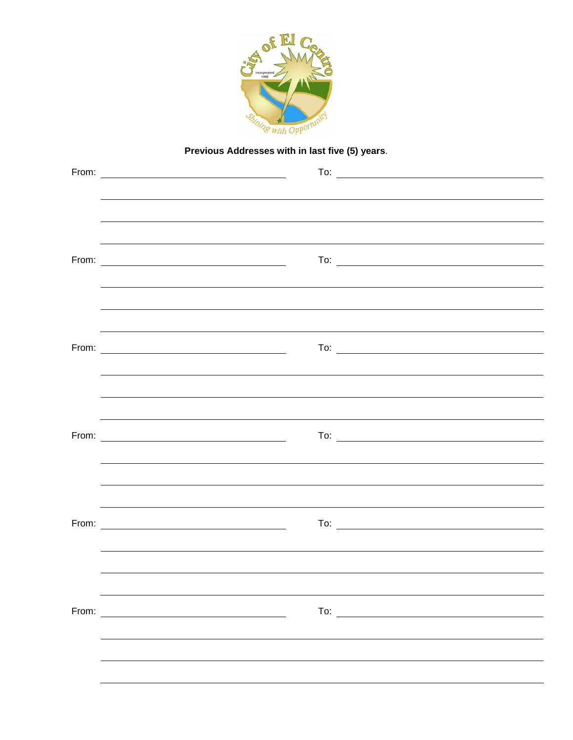

## **Previous Addresses with in last five (5) years**.

|       | From: $\overline{\phantom{a}}$                    | To: $\overline{\qquad \qquad }$ |
|-------|---------------------------------------------------|---------------------------------|
|       |                                                   |                                 |
|       |                                                   |                                 |
|       |                                                   |                                 |
|       |                                                   | To: $\qquad \qquad$             |
|       |                                                   |                                 |
|       |                                                   |                                 |
|       |                                                   |                                 |
| From: |                                                   | To: $\overline{\phantom{a}}$    |
|       |                                                   |                                 |
|       |                                                   |                                 |
|       |                                                   |                                 |
|       |                                                   | To: $\overline{\qquad \qquad }$ |
|       |                                                   |                                 |
|       |                                                   |                                 |
|       |                                                   |                                 |
|       |                                                   |                                 |
|       |                                                   |                                 |
|       |                                                   |                                 |
| From: | <u> 1980 - John Stein, amerikansk politiker (</u> |                                 |
|       |                                                   |                                 |
|       |                                                   |                                 |
|       |                                                   |                                 |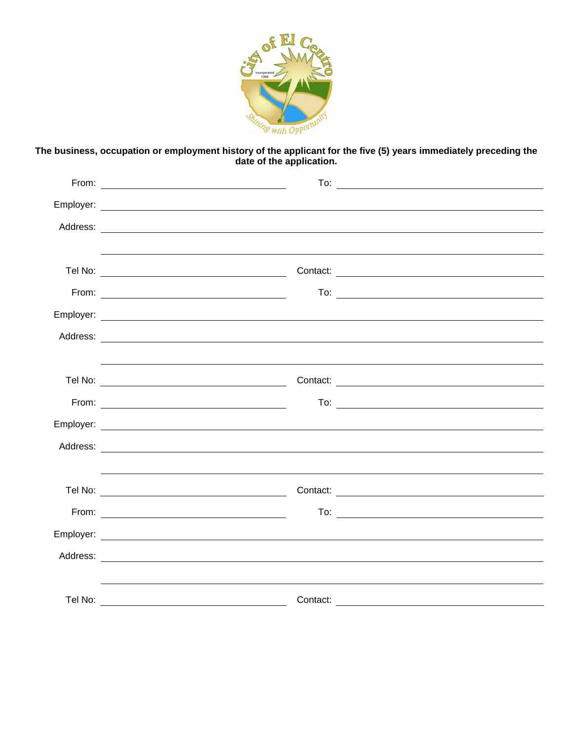

**The business, occupation or employment history of the applicant for the five (5) years immediately preceding the date of the application.**

| To: $\overline{\phantom{a}}$                                                                                                                                                                                                                                                                                                                                                                |
|---------------------------------------------------------------------------------------------------------------------------------------------------------------------------------------------------------------------------------------------------------------------------------------------------------------------------------------------------------------------------------------------|
|                                                                                                                                                                                                                                                                                                                                                                                             |
|                                                                                                                                                                                                                                                                                                                                                                                             |
|                                                                                                                                                                                                                                                                                                                                                                                             |
|                                                                                                                                                                                                                                                                                                                                                                                             |
| To: $\overline{\qquad \qquad }$<br>From: $\overline{\phantom{a}1}$                                                                                                                                                                                                                                                                                                                          |
|                                                                                                                                                                                                                                                                                                                                                                                             |
|                                                                                                                                                                                                                                                                                                                                                                                             |
|                                                                                                                                                                                                                                                                                                                                                                                             |
|                                                                                                                                                                                                                                                                                                                                                                                             |
| To: $\overline{\qquad \qquad }$                                                                                                                                                                                                                                                                                                                                                             |
|                                                                                                                                                                                                                                                                                                                                                                                             |
|                                                                                                                                                                                                                                                                                                                                                                                             |
|                                                                                                                                                                                                                                                                                                                                                                                             |
|                                                                                                                                                                                                                                                                                                                                                                                             |
| $\begin{picture}(180,10) \put(0,0){\dashbox{0.5}(10,0){ }} \put(15,0){\circle{10}} \put(15,0){\circle{10}} \put(15,0){\circle{10}} \put(15,0){\circle{10}} \put(15,0){\circle{10}} \put(15,0){\circle{10}} \put(15,0){\circle{10}} \put(15,0){\circle{10}} \put(15,0){\circle{10}} \put(15,0){\circle{10}} \put(15,0){\circle{10}} \put(15,0){\circle{10}} \put(15,0){\circle{10}} \put(15$ |
|                                                                                                                                                                                                                                                                                                                                                                                             |
|                                                                                                                                                                                                                                                                                                                                                                                             |
|                                                                                                                                                                                                                                                                                                                                                                                             |
|                                                                                                                                                                                                                                                                                                                                                                                             |